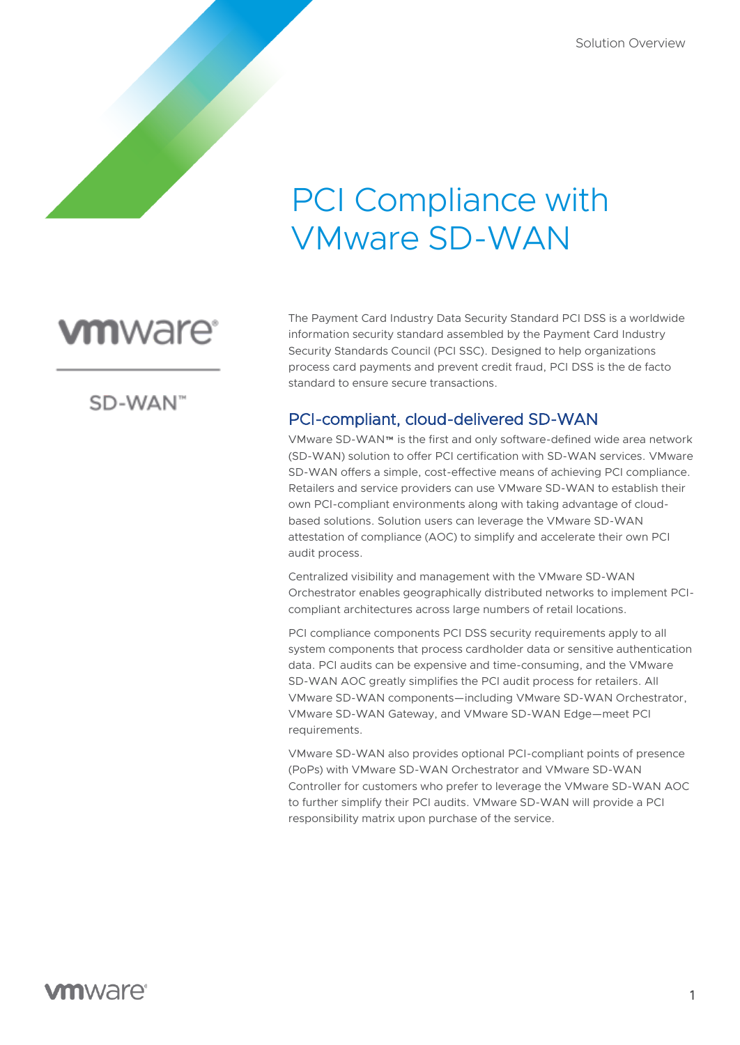# PCI Compliance with VMware SD-WAN

# **vm**ware<sup>®</sup>

SD-WAN"

The Payment Card Industry Data Security Standard PCI DSS is a worldwide information security standard assembled by the Payment Card Industry Security Standards Council (PCI SSC). Designed to help organizations process card payments and prevent credit fraud, PCI DSS is the de facto standard to ensure secure transactions.

# PCI-compliant, cloud-delivered SD-WAN

VMware SD-WAN™ is the first and only software-defined wide area network (SD-WAN) solution to offer PCI certification with SD-WAN services. VMware SD-WAN offers a simple, cost-effective means of achieving PCI compliance. Retailers and service providers can use VMware SD-WAN to establish their own PCI-compliant environments along with taking advantage of cloudbased solutions. Solution users can leverage the VMware SD-WAN attestation of compliance (AOC) to simplify and accelerate their own PCI audit process.

Centralized visibility and management with the VMware SD-WAN Orchestrator enables geographically distributed networks to implement PCIcompliant architectures across large numbers of retail locations.

PCI compliance components PCI DSS security requirements apply to all system components that process cardholder data or sensitive authentication data. PCI audits can be expensive and time-consuming, and the VMware SD-WAN AOC greatly simplifies the PCI audit process for retailers. All VMware SD-WAN components—including VMware SD-WAN Orchestrator, VMware SD-WAN Gateway, and VMware SD-WAN Edge—meet PCI requirements.

VMware SD-WAN also provides optional PCI-compliant points of presence (PoPs) with VMware SD-WAN Orchestrator and VMware SD-WAN Controller for customers who prefer to leverage the VMware SD-WAN AOC to further simplify their PCI audits. VMware SD-WAN will provide a PCI responsibility matrix upon purchase of the service.

# **vm**ware<sup>®</sup>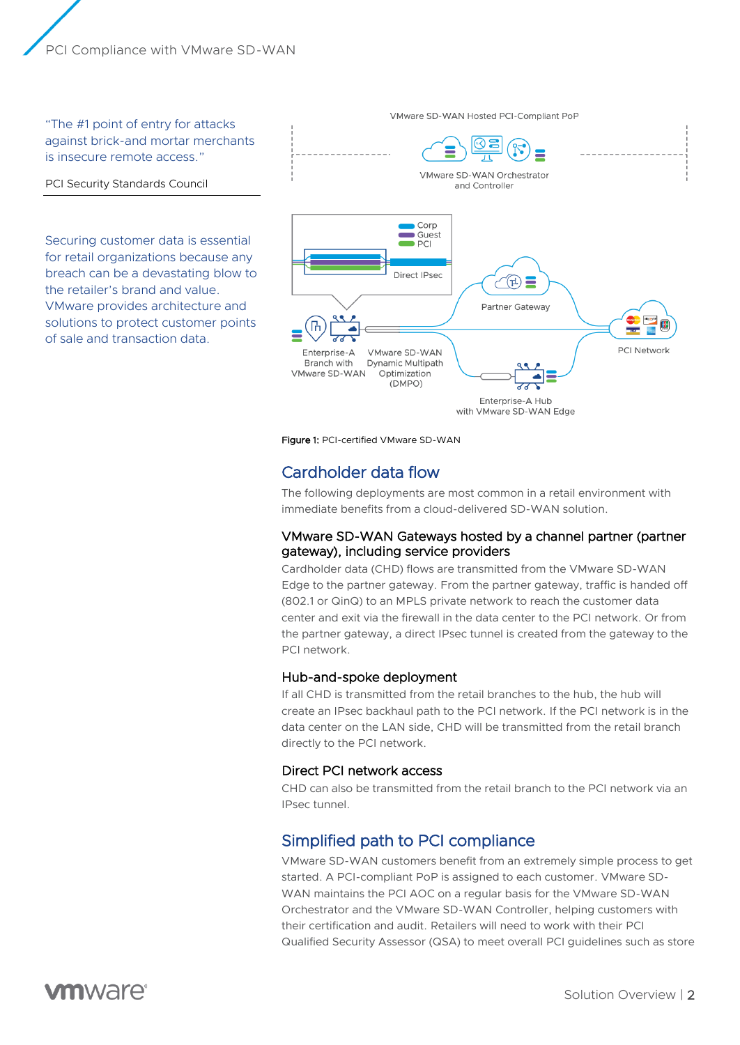PCI Compliance with VMware SD-WAN

"The #1 point of entry for attacks against brick-and mortar merchants is insecure remote access."

#### PCI Security Standards Council

Securing customer data is essential for retail organizations because any breach can be a devastating blow to the retailer's brand and value. VMware provides architecture and solutions to protect customer points of sale and transaction data.



Figure 1: PCI-certified VMware SD-WAN

# Cardholder data flow

The following deployments are most common in a retail environment with immediate benefits from a cloud-delivered SD-WAN solution.

#### VMware SD-WAN Gateways hosted by a channel partner (partner gateway), including service providers

Cardholder data (CHD) flows are transmitted from the VMware SD-WAN Edge to the partner gateway. From the partner gateway, traffic is handed off (802.1 or QinQ) to an MPLS private network to reach the customer data center and exit via the firewall in the data center to the PCI network. Or from the partner gateway, a direct IPsec tunnel is created from the gateway to the PCI network.

#### Hub-and-spoke deployment

If all CHD is transmitted from the retail branches to the hub, the hub will create an IPsec backhaul path to the PCI network. If the PCI network is in the data center on the LAN side, CHD will be transmitted from the retail branch directly to the PCI network.

#### Direct PCI network access

CHD can also be transmitted from the retail branch to the PCI network via an IPsec tunnel.

# Simplified path to PCI compliance

VMware SD-WAN customers benefit from an extremely simple process to get started. A PCI-compliant PoP is assigned to each customer. VMware SD-WAN maintains the PCI AOC on a regular basis for the VMware SD-WAN Orchestrator and the VMware SD-WAN Controller, helping customers with their certification and audit. Retailers will need to work with their PCI Qualified Security Assessor (QSA) to meet overall PCI guidelines such as store